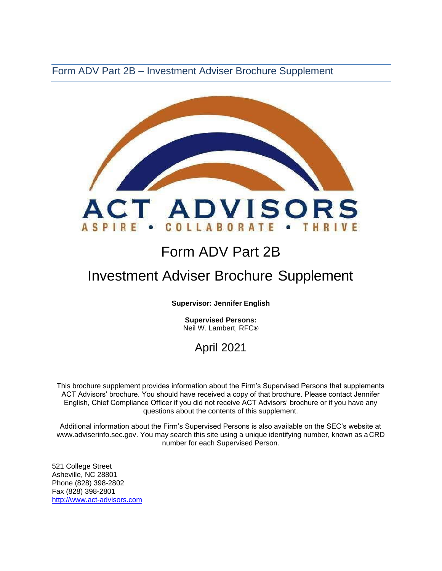Form ADV Part 2B – Investment Adviser Brochure Supplement



# Form ADV Part 2B

# Investment Adviser Brochure Supplement

**Supervisor: Jennifer English** 

**Supervised Persons:** Neil W. Lambert, RFC®

# April 2021

This brochure supplement provides information about the Firm's Supervised Persons that supplements ACT Advisors' brochure. You should have received a copy of that brochure. Please contact Jennifer English, Chief Compliance Officer if you did not receive ACT Advisors' brochure or if you have any questions about the contents of this supplement.

Additional information about the Firm's Supervised Persons is also available on the SEC's website at [www.adviserinfo.sec.gov. Y](http://www.adviserinfo.sec.gov/)ou may search this site using a unique identifying number, known as a CRD number for each Supervised Person.

521 College Street Asheville, NC 28801 Phone (828) 398-2802 Fax (828) 398-2801 [http://www.act-advisors.com](http://www.act-advisors.com/)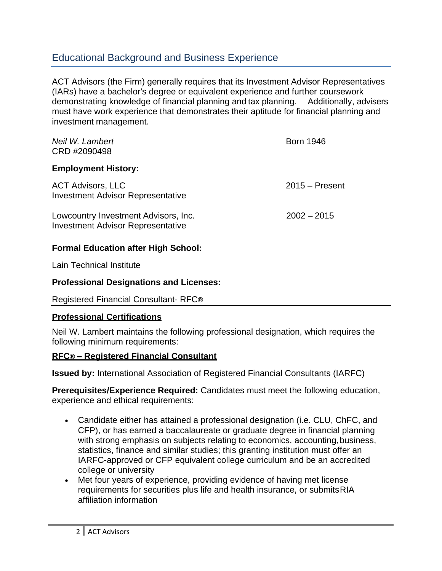### Educational Background and Business Experience

ACT Advisors (the Firm) generally requires that its Investment Advisor Representatives (IARs) have a bachelor's degree or equivalent experience and further coursework demonstrating knowledge of financial planning and tax planning. Additionally, advisers must have work experience that demonstrates their aptitude for financial planning and investment management.

| Neil W. Lambert<br>CRD #2090498                                                  | <b>Born 1946</b> |
|----------------------------------------------------------------------------------|------------------|
| <b>Employment History:</b>                                                       |                  |
| <b>ACT Advisors, LLC</b><br><b>Investment Advisor Representative</b>             | $2015 -$ Present |
| Lowcountry Investment Advisors, Inc.<br><b>Investment Advisor Representative</b> | $2002 - 2015$    |

#### **Formal Education after High School:**

Lain Technical Institute

#### **Professional Designations and Licenses:**

Registered Financial Consultant- RFC**®**

#### **Professional Certifications**

Neil W. Lambert maintains the following professional designation, which requires the following minimum requirements:

#### **RFC® – Registered Financial Consultant**

**Issued by:** International Association of Registered Financial Consultants (IARFC)

**Prerequisites/Experience Required:** Candidates must meet the following education, experience and ethical requirements:

- Candidate either has attained a professional designation (i.e. CLU, ChFC, and CFP), or has earned a baccalaureate or graduate degree in financial planning with strong emphasis on subjects relating to economics, accounting, business, statistics, finance and similar studies; this granting institution must offer an IARFC-approved or CFP equivalent college curriculum and be an accredited college or university
- Met four years of experience, providing evidence of having met license requirements for securities plus life and health insurance, or submitsRIA affiliation information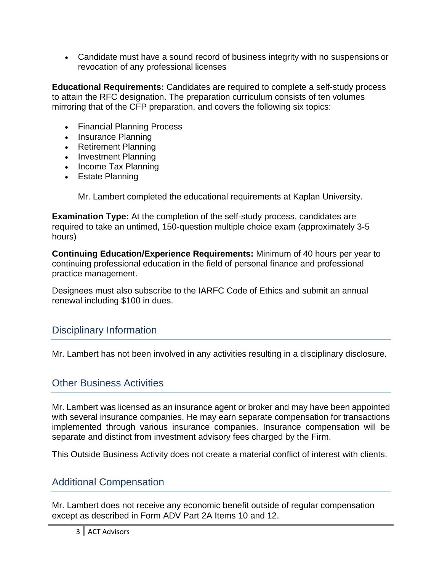• Candidate must have a sound record of business integrity with no suspensions or revocation of any professional licenses

**Educational Requirements:** Candidates are required to complete a self-study process to attain the RFC designation. The preparation curriculum consists of ten volumes mirroring that of the CFP preparation, and covers the following six topics:

- Financial Planning Process
- Insurance Planning
- Retirement Planning
- Investment Planning
- Income Tax Planning
- Estate Planning

Mr. Lambert completed the educational requirements at Kaplan University.

**Examination Type:** At the completion of the self-study process, candidates are required to take an untimed, 150-question multiple choice exam (approximately 3-5 hours)

**Continuing Education/Experience Requirements:** Minimum of 40 hours per year to continuing professional education in the field of personal finance and professional practice management.

Designees must also subscribe to the IARFC Code of Ethics and submit an annual renewal including \$100 in dues.

## Disciplinary Information

Mr. Lambert has not been involved in any activities resulting in a disciplinary disclosure.

## Other Business Activities

Mr. Lambert was licensed as an insurance agent or broker and may have been appointed with several insurance companies. He may earn separate compensation for transactions implemented through various insurance companies. Insurance compensation will be separate and distinct from investment advisory fees charged by the Firm.

This Outside Business Activity does not create a material conflict of interest with clients.

## Additional Compensation

Mr. Lambert does not receive any economic benefit outside of regular compensation except as described in Form ADV Part 2A Items 10 and 12.